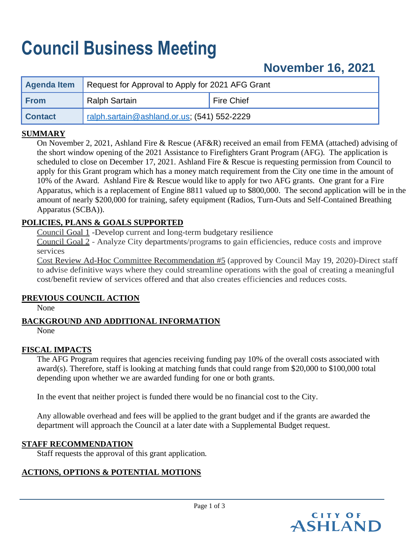# **Council Business Meeting**

# **November 16, 2021**

| Agenda Item    | Request for Approval to Apply for 2021 AFG Grant |                   |
|----------------|--------------------------------------------------|-------------------|
| From           | Ralph Sartain                                    | <b>Fire Chief</b> |
| <b>Contact</b> | ralph.sartain@ashland.or.us; (541) 552-2229      |                   |

# **SUMMARY**

On November 2, 2021, Ashland Fire & Rescue (AF&R) received an email from FEMA (attached) advising of the short window opening of the 2021 Assistance to Firefighters Grant Program (AFG). The application is scheduled to close on December 17, 2021. Ashland Fire & Rescue is requesting permission from Council to apply for this Grant program which has a money match requirement from the City one time in the amount of 10% of the Award. Ashland Fire & Rescue would like to apply for two AFG grants. One grant for a Fire Apparatus, which is a replacement of Engine 8811 valued up to \$800,000. The second application will be in the amount of nearly \$200,000 for training, safety equipment (Radios, Turn-Outs and Self-Contained Breathing Apparatus (SCBA)).

# **POLICIES, PLANS & GOALS SUPPORTED**

Council Goal 1 -Develop current and long-term budgetary resilience

Council Goal 2 - Analyze City departments/programs to gain efficiencies, reduce costs and improve services

Cost Review Ad-Hoc Committee Recommendation #5 (approved by Council May 19, 2020)-Direct staff to advise definitive ways where they could streamline operations with the goal of creating a meaningful cost/benefit review of services offered and that also creates efficiencies and reduces costs.

# **PREVIOUS COUNCIL ACTION**

None

# **BACKGROUND AND ADDITIONAL INFORMATION**

None

# **FISCAL IMPACTS**

The AFG Program requires that agencies receiving funding pay 10% of the overall costs associated with award(s). Therefore, staff is looking at matching funds that could range from \$20,000 to \$100,000 total depending upon whether we are awarded funding for one or both grants.

In the event that neither project is funded there would be no financial cost to the City.

Any allowable overhead and fees will be applied to the grant budget and if the grants are awarded the department will approach the Council at a later date with a Supplemental Budget request.

# **STAFF RECOMMENDATION**

Staff requests the approval of this grant application.

# **ACTIONS, OPTIONS & POTENTIAL MOTIONS**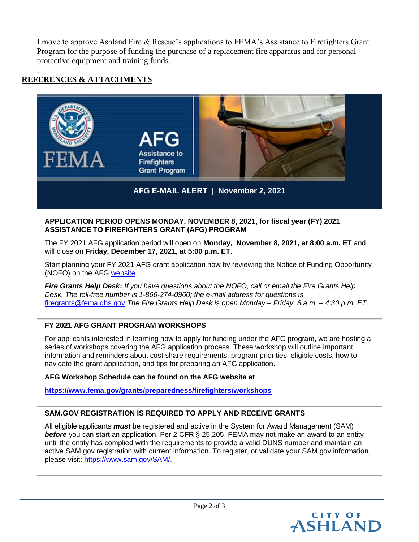I move to approve Ashland Fire & Rescue's applications to FEMA's Assistance to Firefighters Grant Program for the purpose of funding the purchase of a replacement fire apparatus and for personal protective equipment and training funds.

#### . **REFERENCES & ATTACHMENTS**



#### **APPLICATION PERIOD OPENS MONDAY, NOVEMBER 8, 2021, for fiscal year (FY) 2021 ASSISTANCE TO FIREFIGHTERS GRANT (AFG) PROGRAM**

The FY 2021 AFG application period will open on **Monday, November 8, 2021, at 8:00 a.m. ET** and will close on **Friday, December 17, 2021, at 5:00 p.m. ET**.

Start planning your FY 2021 AFG grant application now by reviewing the Notice of Funding Opportunity (NOFO) on the AFG [website](https://urldefense.us/v3/__https:/lnks.gd/l/eyJhbGciOiJIUzI1NiJ9.eyJidWxsZXRpbl9saW5rX2lkIjoxMDAsInVyaSI6ImJwMjpjbGljayIsImJ1bGxldGluX2lkIjoiMjAyMTExMDIuNDgyODYyNjEiLCJ1cmwiOiJodHRwczovL3d3dy5mZW1hLmdvdi9tZWRpYS1jb2xsZWN0aW9uL2Z5LTIwMjEtYXNzaXN0YW5jZS1maXJlZmlnaHRlcnMtZ3JhbnQtYWZnLWFwcGxpY2F0aW9uLWd1aWRhbmNlLW1hdGVyaWFscyJ9.SJjiB880f_JmR4hCYYU_ZagJ_9GZruhG9XjMOavfxnw/s/1356858143/br/116510277199-l__;!!BClRuOV5cvtbuNI!SjHxizjswr0chYHNco1o1VhLGrJ6QRsMuxrpdPno7WJw4VnOduCoXcMsXKkMmNtV-z54SA$) .

*Fire Grants Help Desk***:** *If you have questions about the NOFO, call or email the Fire Grants Help Desk. The toll-free number is 1-866-274-0960; the e-mail address for questions is*  [firegrants@fema.dhs.gov.](mailto:firegrants@fema.dhs.gov)*The Fire Grants Help Desk is open Monday – Friday, 8 a.m. – 4:30 p.m. ET.* 

# **FY 2021 AFG GRANT PROGRAM WORKSHOPS**

For applicants interested in learning how to apply for funding under the AFG program, we are hosting a series of workshops covering the AFG application process. These workshop will outline important information and reminders about cost share requirements, program priorities, eligible costs, how to navigate the grant application, and tips for preparing an AFG application.

#### **AFG Workshop Schedule can be found on the AFG website at**

**[https://www.fema.gov/grants/preparedness/firefighters/workshops](https://urldefense.us/v3/__https:/lnks.gd/l/eyJhbGciOiJIUzI1NiJ9.eyJidWxsZXRpbl9saW5rX2lkIjoxMDEsInVyaSI6ImJwMjpjbGljayIsImJ1bGxldGluX2lkIjoiMjAyMTExMDIuNDgyODYyNjEiLCJ1cmwiOiJodHRwczovL3d3dy5mZW1hLmdvdi9ncmFudHMvcHJlcGFyZWRuZXNzL2ZpcmVmaWdodGVycy93b3Jrc2hvcHMifQ.9ehoQF4WLPSsoIJ0CogrmLJoWDmIfBYMlKqbKWs7PHM/s/1356858143/br/116510277199-l__;!!BClRuOV5cvtbuNI!SjHxizjswr0chYHNco1o1VhLGrJ6QRsMuxrpdPno7WJw4VnOduCoXcMsXKkMmNtLQ4_p2w$)** 

# **SAM.GOV REGISTRATION IS REQUIRED TO APPLY AND RECEIVE GRANTS**

All eligible applicants *must* be registered and active in the System for Award Management (SAM) **before** you can start an application. Per 2 CFR § 25.205, FEMA may not make an award to an entity until the entity has complied with the requirements to provide a valid DUNS number and maintain an active SAM.gov registration with current information. To register, or validate your SAM.gov information, please visit: [https://www.sam.gov/SAM/.](https://urldefense.us/v3/__https:/lnks.gd/l/eyJhbGciOiJIUzI1NiJ9.eyJidWxsZXRpbl9saW5rX2lkIjoxMDIsInVyaSI6ImJwMjpjbGljayIsImJ1bGxldGluX2lkIjoiMjAyMTExMDIuNDgyODYyNjEiLCJ1cmwiOiJodHRwczovL3d3dy5zYW0uZ292L1NBTS8ifQ.wypSPK1VGTgo0oGKjhj6xkCdpwwKCzLpKQ_6E02FWno/s/1356858143/br/116510277199-l__;!!BClRuOV5cvtbuNI!SjHxizjswr0chYHNco1o1VhLGrJ6QRsMuxrpdPno7WJw4VnOduCoXcMsXKkMmNvC3aiApg$)